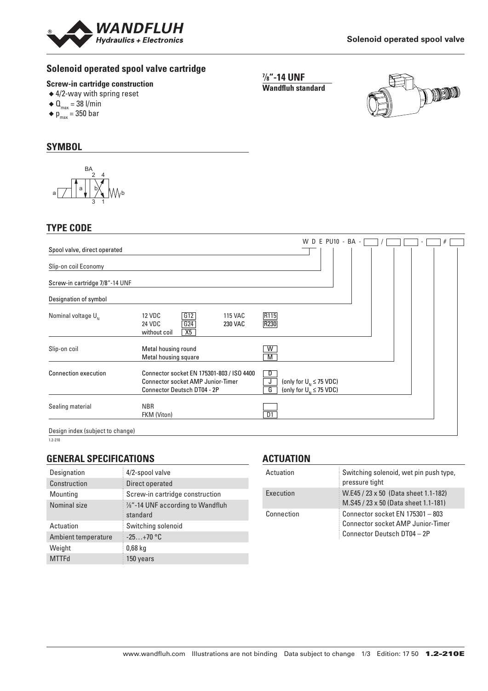

### **Solenoid operated spool valve cartridge**

#### **Screw-in cartridge construction**

- ◆ 4/2-way with spring reset
- $\triangleleft$  Q<sub>max</sub> = 38 l/min
- $\bullet$  p<sub>max</sub> = 350 bar

# **SYMBOL**



### **TYPE CODE**

|                                  |                                                                                                                             |                              | W D E PU10 - BA -                                                |  |  | # |
|----------------------------------|-----------------------------------------------------------------------------------------------------------------------------|------------------------------|------------------------------------------------------------------|--|--|---|
| Spool valve, direct operated     |                                                                                                                             |                              |                                                                  |  |  |   |
| Slip-on coil Economy             |                                                                                                                             |                              |                                                                  |  |  |   |
| Screw-in cartridge 7/8"-14 UNF   |                                                                                                                             |                              |                                                                  |  |  |   |
| Designation of symbol            |                                                                                                                             |                              |                                                                  |  |  |   |
| Nominal voltage $U_{N}$          | G12<br><b>12 VDC</b><br><b>115 VAC</b><br>G24<br><b>24 VDC</b><br><b>230 VAC</b><br>X5<br>without coil                      | R115<br>R230                 |                                                                  |  |  |   |
| Slip-on coil                     | Metal housing round<br>Metal housing square                                                                                 | $\overline{\mathsf{W}}$<br>M |                                                                  |  |  |   |
| <b>Connection execution</b>      | Connector socket EN 175301-803 / ISO 4400<br><b>Connector socket AMP Junior-Timer</b><br><b>Connector Deutsch DT04 - 2P</b> | D<br>J<br>$\overline{G}$     | (only for $U_{N} \leq 75$ VDC)<br>(only for $U_{N} \leq 75$ VDC) |  |  |   |
| Sealing material                 | <b>NBR</b><br>FKM (Viton)                                                                                                   | DT                           |                                                                  |  |  |   |
| Design index (subject to change) |                                                                                                                             |                              |                                                                  |  |  |   |

1.2-210

### **GENERAL SPECIFICATIONS**

| Designation         | 4/2-spool valve                               |
|---------------------|-----------------------------------------------|
| Construction        | Direct operated                               |
| Mounting            | Screw-in cartridge construction               |
| Nominal size        | 1/8"-14 UNF according to Wandfluh<br>standard |
| Actuation           | Switching solenoid                            |
| Ambient temperature | $-25+70$ °C                                   |
| Weight              | $0,68$ kg                                     |
| <b>MTTFd</b>        | 150 years                                     |
|                     |                                               |

## **ACTUATION**

| Actuation  | Switching solenoid, wet pin push type,<br>pressure tight                                                    |
|------------|-------------------------------------------------------------------------------------------------------------|
| Execution  | W.E45 / 23 x 50 (Data sheet 1.1-182)<br>M.S45 / 23 x 50 (Data sheet 1.1-181)                                |
| Connection | Connector socket EN 175301 - 803<br><b>Connector socket AMP Junior-Timer</b><br>Connector Deutsch DT04 - 2P |

**7 ⁄8"-14 UNF Wandfluh standard**

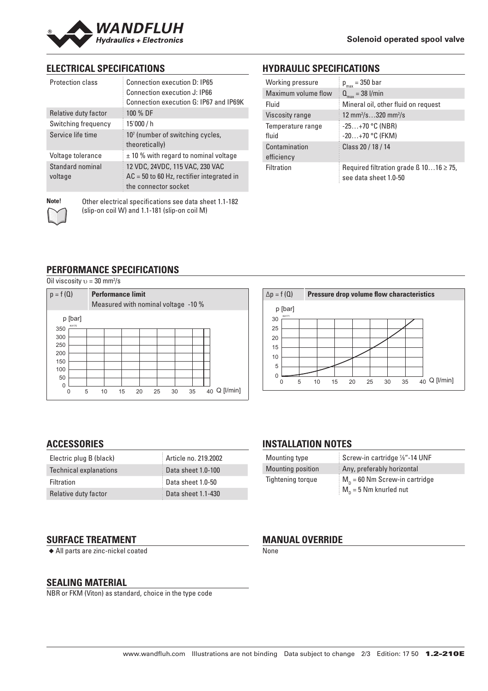

### **ELECTRICAL SPECIFICATIONS**

| Protection class            | Connection execution D: IP65<br>Connection execution J: IP66<br>Connection execution G: IP67 and IP69K |
|-----------------------------|--------------------------------------------------------------------------------------------------------|
| Relative duty factor        | 100 % DF                                                                                               |
| Switching frequency         | 15'000 / h                                                                                             |
| Service life time           | 10 <sup>7</sup> (number of switching cycles,<br>theoretically)                                         |
| Voltage tolerance           | $\pm$ 10 % with regard to nominal voltage                                                              |
| Standard nominal<br>voltage | 12 VDC, 24VDC, 115 VAC, 230 VAC<br>$AC = 50$ to 60 Hz, rectifier integrated in<br>the connector socket |

**Note!** Other electrical specifications see data sheet 1.1-182 (slip-on coil W) and 1.1-181 (slip-on coil M)

## **HYDRAULIC SPECIFICATIONS**

| Working pressure            | $p_{max} = 350$ bar                                                        |
|-----------------------------|----------------------------------------------------------------------------|
| Maximum volume flow         | $\Omega_{\text{max}} = 38$ l/min                                           |
| Fluid                       | Mineral oil, other fluid on request                                        |
| Viscosity range             | 12 mm <sup>2</sup> /s320 mm <sup>2</sup> /s                                |
| Temperature range<br>fluid  | $-25+70$ °C (NBR)<br>$-20+70$ °C (FKM)                                     |
| Contamination<br>efficiency | Class 20 / 18 / 14                                                         |
| <b>Filtration</b>           | Required filtration grade $\beta$ 1016 $\geq$ 75,<br>see data sheet 1.0-50 |

### **PERFORMANCE SPECIFICATIONS**

Oil viscosity  $v = 30$  mm<sup>2</sup>/s

| $p = f(Q)$ |                  | <b>Performance limit</b><br>Measured with nominal voltage -10 % |    |    |    |    |    |              |
|------------|------------------|-----------------------------------------------------------------|----|----|----|----|----|--------------|
| 350        | p [bar]<br>K4170 |                                                                 |    |    |    |    |    |              |
| 300        |                  |                                                                 |    |    |    |    |    |              |
| 250<br>200 |                  |                                                                 |    |    |    |    |    |              |
| 150        |                  |                                                                 |    |    |    |    |    |              |
| 100        |                  |                                                                 |    |    |    |    |    |              |
| 50         |                  |                                                                 |    |    |    |    |    |              |
| 0          | 5<br>0           | 10                                                              | 15 | 20 | 25 | 30 | 35 | 40 Q [l/min] |



### **ACCESSORIES**

| Electric plug B (black)       | Article no. 219.2002 |
|-------------------------------|----------------------|
| <b>Technical explanations</b> | Data sheet 1.0-100   |
| Filtration                    | Data sheet 1.0-50    |
| Relative duty factor          | Data sheet 1.1-430   |

### **INSTALLATION NOTES**

| Mounting type     | Screw-in cartridge %"-14 UNF                                             |
|-------------------|--------------------------------------------------------------------------|
| Mounting position | Any, preferably horizontal                                               |
| Tightening torque | $M_{\rm n}$ = 60 Nm Screw-in cartridge<br>$M_{\rm p}$ = 5 Nm knurled nut |

#### **SURFACE TREATMENT**

◆ All parts are zinc-nickel coated

### **MANUAL OVERRIDE**

None

#### **SEALING MATERIAL**

NBR or FKM (Viton) as standard, choice in the type code